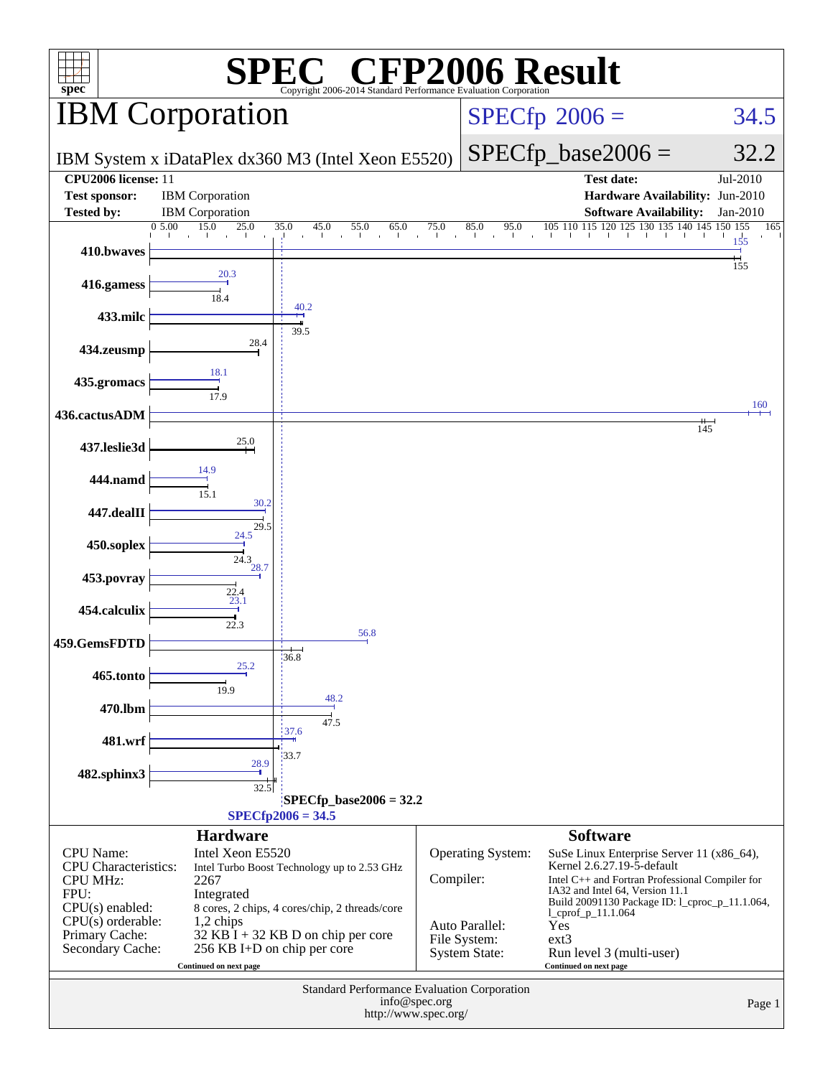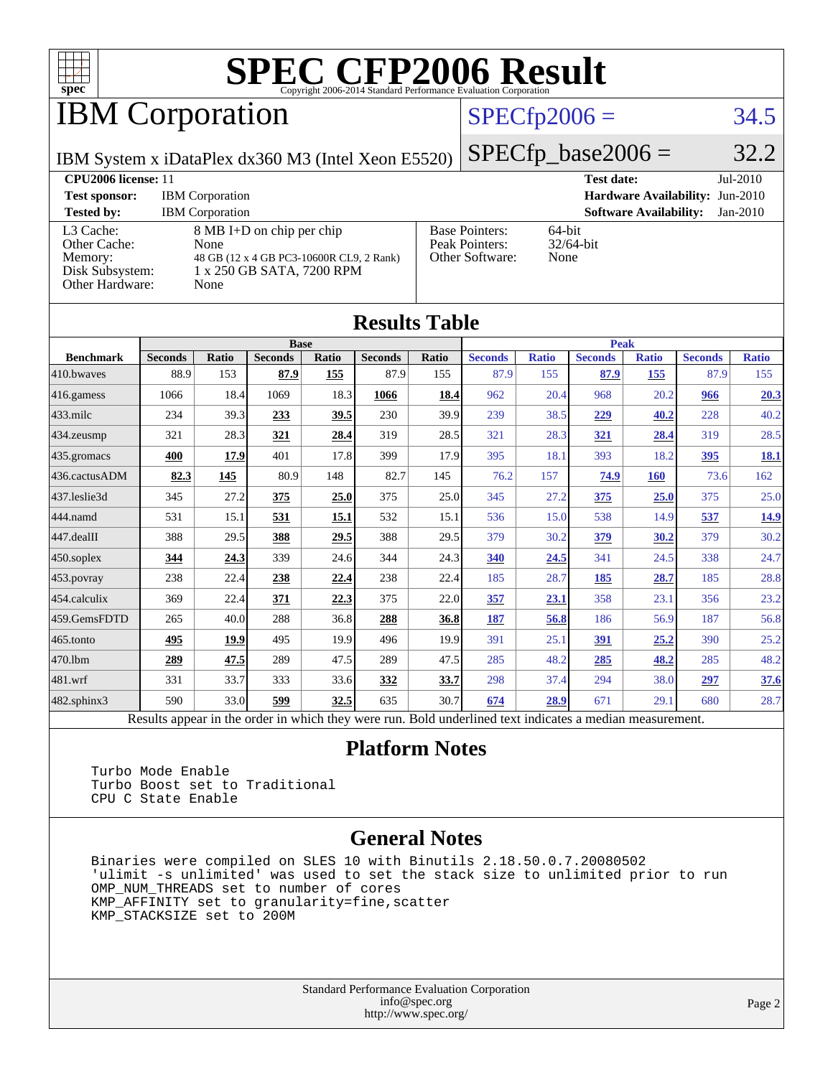

## **IBM Corporation**

### $SPECfp2006 = 34.5$  $SPECfp2006 = 34.5$

IBM System x iDataPlex dx360 M3 (Intel Xeon E5520)

 $SPECTp\_base2006 = 32.2$ 

| <b>CPU2006</b> license: 11                                                 |                                                                                                                    |                                                            | $Jul-2010$<br><b>Test date:</b>             |
|----------------------------------------------------------------------------|--------------------------------------------------------------------------------------------------------------------|------------------------------------------------------------|---------------------------------------------|
| <b>Test sponsor:</b>                                                       | <b>IBM</b> Corporation                                                                                             |                                                            | Hardware Availability: Jun-2010             |
| <b>Tested by:</b>                                                          | <b>IBM</b> Corporation                                                                                             |                                                            | <b>Software Availability:</b><br>$Jan-2010$ |
| L3 Cache:<br>Other Cache:<br>Memory:<br>Disk Subsystem:<br>Other Hardware: | 8 MB I+D on chip per chip<br>None<br>48 GB (12 x 4 GB PC3-10600R CL9, 2 Rank)<br>1 x 250 GB SATA, 7200 RPM<br>None | <b>Base Pointers:</b><br>Peak Pointers:<br>Other Software: | $64$ -bit<br>$32/64$ -bit<br>None           |

**[Results Table](http://www.spec.org/auto/cpu2006/Docs/result-fields.html#ResultsTable)**

| Results Tadie    |                                                                                                          |              |                |             |                |       |                |              |                |              |                |              |
|------------------|----------------------------------------------------------------------------------------------------------|--------------|----------------|-------------|----------------|-------|----------------|--------------|----------------|--------------|----------------|--------------|
| <b>Base</b>      |                                                                                                          |              |                | <b>Peak</b> |                |       |                |              |                |              |                |              |
| <b>Benchmark</b> | <b>Seconds</b>                                                                                           | <b>Ratio</b> | <b>Seconds</b> | Ratio       | <b>Seconds</b> | Ratio | <b>Seconds</b> | <b>Ratio</b> | <b>Seconds</b> | <b>Ratio</b> | <b>Seconds</b> | <b>Ratio</b> |
| 410.bwaves       | 88.9                                                                                                     | 153          | 87.9           | 155         | 87.9           | 155   | 87.9           | 155          | 87.9           | 155          | 87.9           | 155          |
| $416$ .gamess    | 1066                                                                                                     | 18.4         | 1069           | 18.3        | 1066           | 18.4  | 962            | 20.4         | 968            | 20.2         | 966            | 20.3         |
| $433$ .milc      | 234                                                                                                      | 39.3         | 233            | 39.5        | 230            | 39.9  | 239            | 38.5         | 229            | 40.2         | 228            | 40.2         |
| 434.zeusmp       | 321                                                                                                      | 28.3         | 321            | 28.4        | 319            | 28.5  | 321            | 28.3         | 321            | 28.4         | 319            | 28.5         |
| 435 gromacs      | 400                                                                                                      | 17.9         | 401            | 17.8        | 399            | 17.9  | 395            | 18.1         | 393            | 18.2         | 395            | <u>18.1</u>  |
| 436.cactusADM    | 82.3                                                                                                     | 145          | 80.9           | 148         | 82.7           | 145   | 76.2           | 157          | 74.9           | <b>160</b>   | 73.6           | 162          |
| 437.leslie3d     | 345                                                                                                      | 27.2         | 375            | 25.0        | 375            | 25.0  | 345            | 27.2         | 375            | 25.0         | 375            | 25.0         |
| 444.namd         | 531                                                                                                      | 15.1         | 531            | 15.1        | 532            | 15.1  | 536            | 15.0         | 538            | 14.9         | 537            | 14.9         |
| 447.dealII       | 388                                                                                                      | 29.5         | 388            | 29.5        | 388            | 29.5  | 379            | 30.2         | 379            | 30.2         | 379            | 30.2         |
| $450$ .soplex    | 344                                                                                                      | 24.3         | 339            | 24.6        | 344            | 24.3  | 340            | 24.5         | 341            | 24.5         | 338            | 24.7         |
| $453$ . povray   | 238                                                                                                      | 22.4         | 238            | 22.4        | 238            | 22.4  | 185            | 28.7         | 185            | 28.7         | 185            | 28.8         |
| 454.calculix     | 369                                                                                                      | 22.4         | 371            | 22.3        | 375            | 22.0  | 357            | 23.1         | 358            | 23.1         | 356            | 23.2         |
| 459.GemsFDTD     | 265                                                                                                      | 40.0         | 288            | 36.8        | 288            | 36.8  | 187            | 56.8         | 186            | 56.9         | 187            | 56.8         |
| $465$ .tonto     | 495                                                                                                      | 19.9         | 495            | 19.9        | 496            | 19.9  | 391            | 25.1         | 391            | 25.2         | 390            | 25.2         |
| 470.1bm          | 289                                                                                                      | 47.5         | 289            | 47.5        | 289            | 47.5  | 285            | 48.2         | 285            | 48.2         | 285            | 48.2         |
| 481.wrf          | 331                                                                                                      | 33.7         | 333            | 33.6        | 332            | 33.7  | 298            | 37.4         | 294            | 38.0         | 297            | 37.6         |
| 482.sphinx3      | 590                                                                                                      | 33.0         | 599            | 32.5        | 635            | 30.7  | 674            | 28.9         | 671            | 29.1         | 680            | 28.7         |
|                  | Results appear in the order in which they were run. Bold underlined text indicates a median measurement. |              |                |             |                |       |                |              |                |              |                |              |

#### **[Platform Notes](http://www.spec.org/auto/cpu2006/Docs/result-fields.html#PlatformNotes)**

 Turbo Mode Enable Turbo Boost set to Traditional CPU C State Enable

#### **[General Notes](http://www.spec.org/auto/cpu2006/Docs/result-fields.html#GeneralNotes)**

 Binaries were compiled on SLES 10 with Binutils 2.18.50.0.7.20080502 'ulimit -s unlimited' was used to set the stack size to unlimited prior to run OMP\_NUM\_THREADS set to number of cores KMP\_AFFINITY set to granularity=fine,scatter KMP\_STACKSIZE set to 200M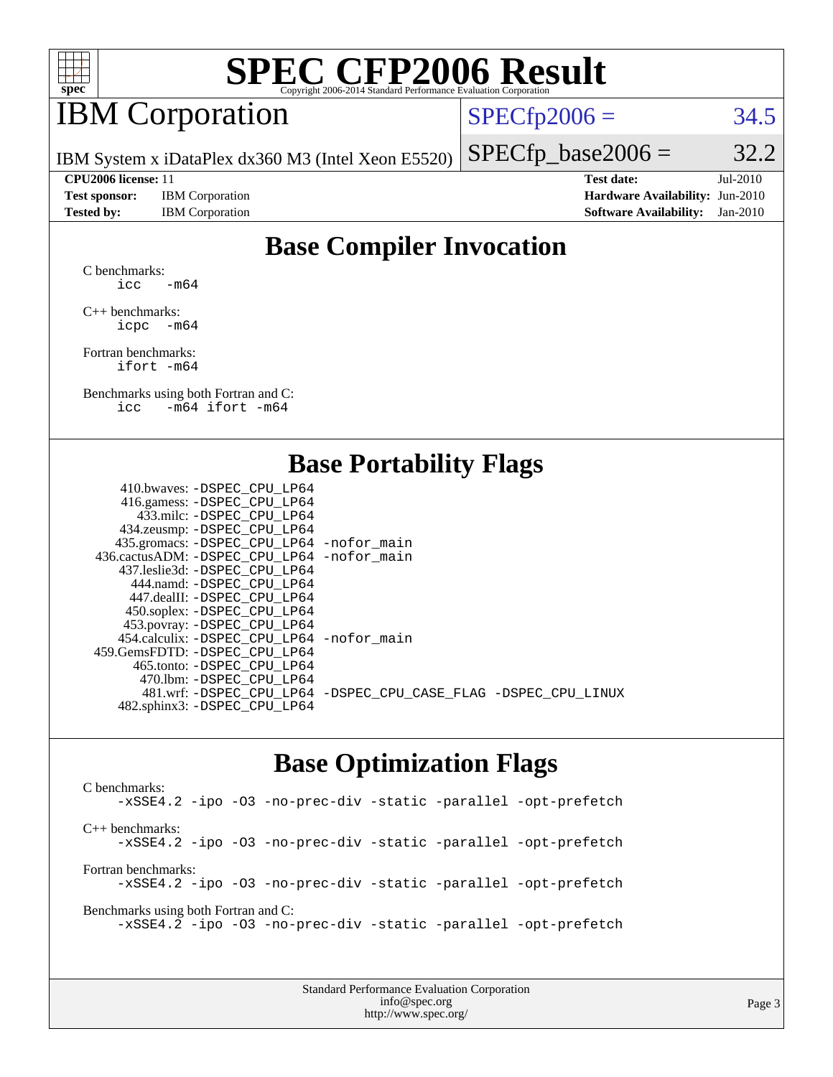

## IBM Corporation

 $SPECTp2006 = 34.5$ 

IBM System x iDataPlex dx360 M3 (Intel Xeon E5520)

**[Test sponsor:](http://www.spec.org/auto/cpu2006/Docs/result-fields.html#Testsponsor)** IBM Corporation **[Hardware Availability:](http://www.spec.org/auto/cpu2006/Docs/result-fields.html#HardwareAvailability)** Jun-2010

 $SPECTp\_base2006 = 32.2$ **[CPU2006 license:](http://www.spec.org/auto/cpu2006/Docs/result-fields.html#CPU2006license)** 11 **[Test date:](http://www.spec.org/auto/cpu2006/Docs/result-fields.html#Testdate)** Jul-2010

**[Tested by:](http://www.spec.org/auto/cpu2006/Docs/result-fields.html#Testedby)** IBM Corporation **[Software Availability:](http://www.spec.org/auto/cpu2006/Docs/result-fields.html#SoftwareAvailability)** Jan-2010

### **[Base Compiler Invocation](http://www.spec.org/auto/cpu2006/Docs/result-fields.html#BaseCompilerInvocation)**

[C benchmarks](http://www.spec.org/auto/cpu2006/Docs/result-fields.html#Cbenchmarks): icc  $-m64$ 

[C++ benchmarks:](http://www.spec.org/auto/cpu2006/Docs/result-fields.html#CXXbenchmarks) [icpc -m64](http://www.spec.org/cpu2006/results/res2010q3/cpu2006-20100719-12475.flags.html#user_CXXbase_intel_icpc_64bit_bedb90c1146cab66620883ef4f41a67e)

[Fortran benchmarks](http://www.spec.org/auto/cpu2006/Docs/result-fields.html#Fortranbenchmarks): [ifort -m64](http://www.spec.org/cpu2006/results/res2010q3/cpu2006-20100719-12475.flags.html#user_FCbase_intel_ifort_64bit_ee9d0fb25645d0210d97eb0527dcc06e)

[Benchmarks using both Fortran and C](http://www.spec.org/auto/cpu2006/Docs/result-fields.html#BenchmarksusingbothFortranandC): [icc -m64](http://www.spec.org/cpu2006/results/res2010q3/cpu2006-20100719-12475.flags.html#user_CC_FCbase_intel_icc_64bit_0b7121f5ab7cfabee23d88897260401c) [ifort -m64](http://www.spec.org/cpu2006/results/res2010q3/cpu2006-20100719-12475.flags.html#user_CC_FCbase_intel_ifort_64bit_ee9d0fb25645d0210d97eb0527dcc06e)

#### **[Base Portability Flags](http://www.spec.org/auto/cpu2006/Docs/result-fields.html#BasePortabilityFlags)**

| 410.bwaves: -DSPEC CPU LP64                  |                                                                |
|----------------------------------------------|----------------------------------------------------------------|
| 416.gamess: - DSPEC_CPU_LP64                 |                                                                |
| 433.milc: -DSPEC CPU LP64                    |                                                                |
| 434.zeusmp: -DSPEC_CPU_LP64                  |                                                                |
| 435.gromacs: -DSPEC_CPU_LP64 -nofor_main     |                                                                |
| 436.cactusADM: - DSPEC CPU LP64 - nofor main |                                                                |
| 437.leslie3d: -DSPEC CPU LP64                |                                                                |
| 444.namd: - DSPEC CPU LP64                   |                                                                |
| 447.dealII: - DSPEC CPU LP64                 |                                                                |
| 450.soplex: -DSPEC_CPU_LP64                  |                                                                |
| 453.povray: -DSPEC_CPU_LP64                  |                                                                |
| 454.calculix: - DSPEC CPU LP64 - nofor main  |                                                                |
| 459.GemsFDTD: -DSPEC CPU LP64                |                                                                |
| 465.tonto: - DSPEC CPU LP64                  |                                                                |
| 470.1bm: - DSPEC CPU LP64                    |                                                                |
|                                              | 481.wrf: -DSPEC_CPU_LP64 -DSPEC_CPU_CASE_FLAG -DSPEC_CPU_LINUX |
| 482.sphinx3: -DSPEC_CPU_LP64                 |                                                                |
|                                              |                                                                |

#### **[Base Optimization Flags](http://www.spec.org/auto/cpu2006/Docs/result-fields.html#BaseOptimizationFlags)**

[C benchmarks](http://www.spec.org/auto/cpu2006/Docs/result-fields.html#Cbenchmarks): [-xSSE4.2](http://www.spec.org/cpu2006/results/res2010q3/cpu2006-20100719-12475.flags.html#user_CCbase_f-xSSE42_f91528193cf0b216347adb8b939d4107) [-ipo](http://www.spec.org/cpu2006/results/res2010q3/cpu2006-20100719-12475.flags.html#user_CCbase_f-ipo) [-O3](http://www.spec.org/cpu2006/results/res2010q3/cpu2006-20100719-12475.flags.html#user_CCbase_f-O3) [-no-prec-div](http://www.spec.org/cpu2006/results/res2010q3/cpu2006-20100719-12475.flags.html#user_CCbase_f-no-prec-div) [-static](http://www.spec.org/cpu2006/results/res2010q3/cpu2006-20100719-12475.flags.html#user_CCbase_f-static) [-parallel](http://www.spec.org/cpu2006/results/res2010q3/cpu2006-20100719-12475.flags.html#user_CCbase_f-parallel) [-opt-prefetch](http://www.spec.org/cpu2006/results/res2010q3/cpu2006-20100719-12475.flags.html#user_CCbase_f-opt-prefetch) [C++ benchmarks:](http://www.spec.org/auto/cpu2006/Docs/result-fields.html#CXXbenchmarks) [-xSSE4.2](http://www.spec.org/cpu2006/results/res2010q3/cpu2006-20100719-12475.flags.html#user_CXXbase_f-xSSE42_f91528193cf0b216347adb8b939d4107) [-ipo](http://www.spec.org/cpu2006/results/res2010q3/cpu2006-20100719-12475.flags.html#user_CXXbase_f-ipo) [-O3](http://www.spec.org/cpu2006/results/res2010q3/cpu2006-20100719-12475.flags.html#user_CXXbase_f-O3) [-no-prec-div](http://www.spec.org/cpu2006/results/res2010q3/cpu2006-20100719-12475.flags.html#user_CXXbase_f-no-prec-div) [-static](http://www.spec.org/cpu2006/results/res2010q3/cpu2006-20100719-12475.flags.html#user_CXXbase_f-static) [-parallel](http://www.spec.org/cpu2006/results/res2010q3/cpu2006-20100719-12475.flags.html#user_CXXbase_f-parallel) [-opt-prefetch](http://www.spec.org/cpu2006/results/res2010q3/cpu2006-20100719-12475.flags.html#user_CXXbase_f-opt-prefetch) [Fortran benchmarks](http://www.spec.org/auto/cpu2006/Docs/result-fields.html#Fortranbenchmarks): [-xSSE4.2](http://www.spec.org/cpu2006/results/res2010q3/cpu2006-20100719-12475.flags.html#user_FCbase_f-xSSE42_f91528193cf0b216347adb8b939d4107) [-ipo](http://www.spec.org/cpu2006/results/res2010q3/cpu2006-20100719-12475.flags.html#user_FCbase_f-ipo) [-O3](http://www.spec.org/cpu2006/results/res2010q3/cpu2006-20100719-12475.flags.html#user_FCbase_f-O3) [-no-prec-div](http://www.spec.org/cpu2006/results/res2010q3/cpu2006-20100719-12475.flags.html#user_FCbase_f-no-prec-div) [-static](http://www.spec.org/cpu2006/results/res2010q3/cpu2006-20100719-12475.flags.html#user_FCbase_f-static) [-parallel](http://www.spec.org/cpu2006/results/res2010q3/cpu2006-20100719-12475.flags.html#user_FCbase_f-parallel) [-opt-prefetch](http://www.spec.org/cpu2006/results/res2010q3/cpu2006-20100719-12475.flags.html#user_FCbase_f-opt-prefetch) [Benchmarks using both Fortran and C](http://www.spec.org/auto/cpu2006/Docs/result-fields.html#BenchmarksusingbothFortranandC): [-xSSE4.2](http://www.spec.org/cpu2006/results/res2010q3/cpu2006-20100719-12475.flags.html#user_CC_FCbase_f-xSSE42_f91528193cf0b216347adb8b939d4107) [-ipo](http://www.spec.org/cpu2006/results/res2010q3/cpu2006-20100719-12475.flags.html#user_CC_FCbase_f-ipo) [-O3](http://www.spec.org/cpu2006/results/res2010q3/cpu2006-20100719-12475.flags.html#user_CC_FCbase_f-O3) [-no-prec-div](http://www.spec.org/cpu2006/results/res2010q3/cpu2006-20100719-12475.flags.html#user_CC_FCbase_f-no-prec-div) [-static](http://www.spec.org/cpu2006/results/res2010q3/cpu2006-20100719-12475.flags.html#user_CC_FCbase_f-static) [-parallel](http://www.spec.org/cpu2006/results/res2010q3/cpu2006-20100719-12475.flags.html#user_CC_FCbase_f-parallel) [-opt-prefetch](http://www.spec.org/cpu2006/results/res2010q3/cpu2006-20100719-12475.flags.html#user_CC_FCbase_f-opt-prefetch)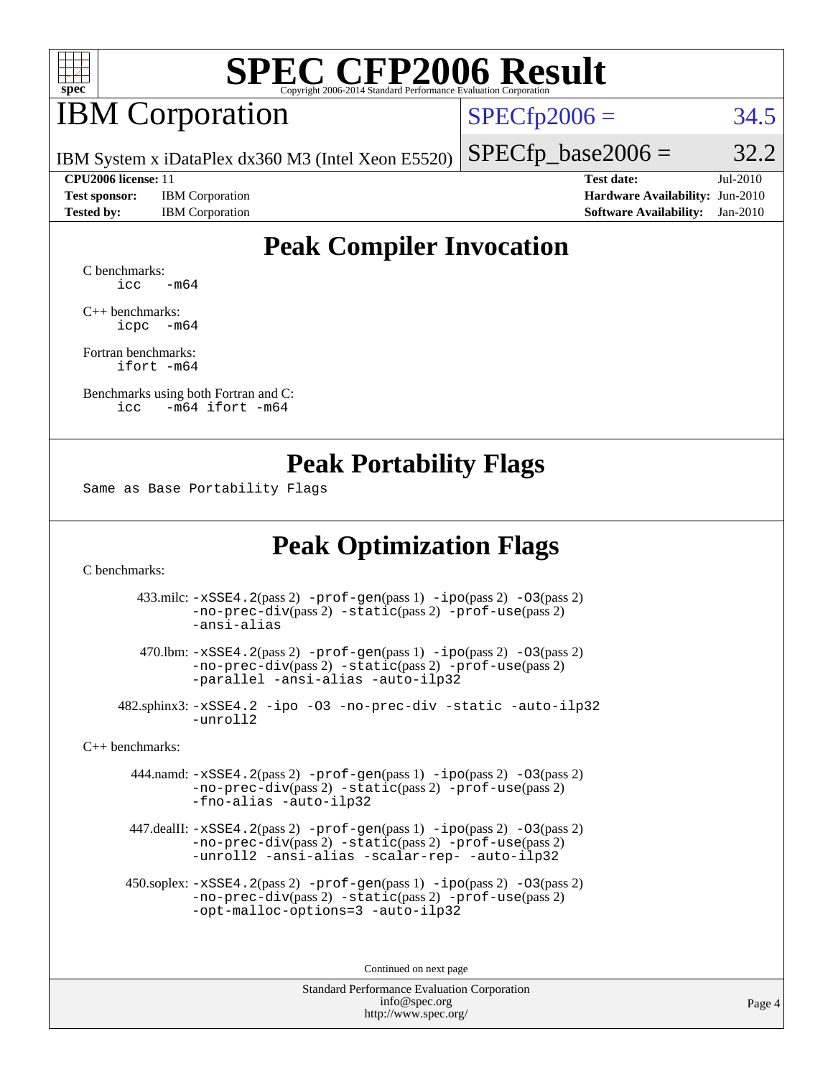

## **IBM** Corporation

 $SPECfp2006 = 34.5$  $SPECfp2006 = 34.5$ 

IBM System x iDataPlex dx360 M3 (Intel Xeon E5520)

**[Test sponsor:](http://www.spec.org/auto/cpu2006/Docs/result-fields.html#Testsponsor)** IBM Corporation **[Hardware Availability:](http://www.spec.org/auto/cpu2006/Docs/result-fields.html#HardwareAvailability)** Jun-2010 **[Tested by:](http://www.spec.org/auto/cpu2006/Docs/result-fields.html#Testedby)** IBM Corporation **[Software Availability:](http://www.spec.org/auto/cpu2006/Docs/result-fields.html#SoftwareAvailability)** Jan-2010

**[CPU2006 license:](http://www.spec.org/auto/cpu2006/Docs/result-fields.html#CPU2006license)** 11 **[Test date:](http://www.spec.org/auto/cpu2006/Docs/result-fields.html#Testdate)** Jul-2010

 $SPECTp\_base2006 = 32.2$ 

### **[Peak Compiler Invocation](http://www.spec.org/auto/cpu2006/Docs/result-fields.html#PeakCompilerInvocation)**

[C benchmarks](http://www.spec.org/auto/cpu2006/Docs/result-fields.html#Cbenchmarks):  $\text{icc}$   $-\text{m64}$ 

[C++ benchmarks:](http://www.spec.org/auto/cpu2006/Docs/result-fields.html#CXXbenchmarks) [icpc -m64](http://www.spec.org/cpu2006/results/res2010q3/cpu2006-20100719-12475.flags.html#user_CXXpeak_intel_icpc_64bit_bedb90c1146cab66620883ef4f41a67e)

[Fortran benchmarks](http://www.spec.org/auto/cpu2006/Docs/result-fields.html#Fortranbenchmarks): [ifort -m64](http://www.spec.org/cpu2006/results/res2010q3/cpu2006-20100719-12475.flags.html#user_FCpeak_intel_ifort_64bit_ee9d0fb25645d0210d97eb0527dcc06e)

[Benchmarks using both Fortran and C](http://www.spec.org/auto/cpu2006/Docs/result-fields.html#BenchmarksusingbothFortranandC): [icc -m64](http://www.spec.org/cpu2006/results/res2010q3/cpu2006-20100719-12475.flags.html#user_CC_FCpeak_intel_icc_64bit_0b7121f5ab7cfabee23d88897260401c) [ifort -m64](http://www.spec.org/cpu2006/results/res2010q3/cpu2006-20100719-12475.flags.html#user_CC_FCpeak_intel_ifort_64bit_ee9d0fb25645d0210d97eb0527dcc06e)

#### **[Peak Portability Flags](http://www.spec.org/auto/cpu2006/Docs/result-fields.html#PeakPortabilityFlags)**

Same as Base Portability Flags

### **[Peak Optimization Flags](http://www.spec.org/auto/cpu2006/Docs/result-fields.html#PeakOptimizationFlags)**

[C benchmarks](http://www.spec.org/auto/cpu2006/Docs/result-fields.html#Cbenchmarks):

 433.milc: [-xSSE4.2](http://www.spec.org/cpu2006/results/res2010q3/cpu2006-20100719-12475.flags.html#user_peakPASS2_CFLAGSPASS2_LDFLAGS433_milc_f-xSSE42_f91528193cf0b216347adb8b939d4107)(pass 2) [-prof-gen](http://www.spec.org/cpu2006/results/res2010q3/cpu2006-20100719-12475.flags.html#user_peakPASS1_CFLAGSPASS1_LDFLAGS433_milc_prof_gen_e43856698f6ca7b7e442dfd80e94a8fc)(pass 1) [-ipo](http://www.spec.org/cpu2006/results/res2010q3/cpu2006-20100719-12475.flags.html#user_peakPASS2_CFLAGSPASS2_LDFLAGS433_milc_f-ipo)(pass 2) [-O3](http://www.spec.org/cpu2006/results/res2010q3/cpu2006-20100719-12475.flags.html#user_peakPASS2_CFLAGSPASS2_LDFLAGS433_milc_f-O3)(pass 2) [-no-prec-div](http://www.spec.org/cpu2006/results/res2010q3/cpu2006-20100719-12475.flags.html#user_peakPASS2_CFLAGSPASS2_LDFLAGS433_milc_f-no-prec-div)(pass 2) [-static](http://www.spec.org/cpu2006/results/res2010q3/cpu2006-20100719-12475.flags.html#user_peakPASS2_CFLAGSPASS2_LDFLAGS433_milc_f-static)(pass 2) [-prof-use](http://www.spec.org/cpu2006/results/res2010q3/cpu2006-20100719-12475.flags.html#user_peakPASS2_CFLAGSPASS2_LDFLAGS433_milc_prof_use_bccf7792157ff70d64e32fe3e1250b55)(pass 2) [-ansi-alias](http://www.spec.org/cpu2006/results/res2010q3/cpu2006-20100719-12475.flags.html#user_peakOPTIMIZE433_milc_f-ansi-alias)

 470.lbm: [-xSSE4.2](http://www.spec.org/cpu2006/results/res2010q3/cpu2006-20100719-12475.flags.html#user_peakPASS2_CFLAGSPASS2_LDFLAGS470_lbm_f-xSSE42_f91528193cf0b216347adb8b939d4107)(pass 2) [-prof-gen](http://www.spec.org/cpu2006/results/res2010q3/cpu2006-20100719-12475.flags.html#user_peakPASS1_CFLAGSPASS1_LDFLAGS470_lbm_prof_gen_e43856698f6ca7b7e442dfd80e94a8fc)(pass 1) [-ipo](http://www.spec.org/cpu2006/results/res2010q3/cpu2006-20100719-12475.flags.html#user_peakPASS2_CFLAGSPASS2_LDFLAGS470_lbm_f-ipo)(pass 2) [-O3](http://www.spec.org/cpu2006/results/res2010q3/cpu2006-20100719-12475.flags.html#user_peakPASS2_CFLAGSPASS2_LDFLAGS470_lbm_f-O3)(pass 2) [-no-prec-div](http://www.spec.org/cpu2006/results/res2010q3/cpu2006-20100719-12475.flags.html#user_peakPASS2_CFLAGSPASS2_LDFLAGS470_lbm_f-no-prec-div)(pass 2) [-static](http://www.spec.org/cpu2006/results/res2010q3/cpu2006-20100719-12475.flags.html#user_peakPASS2_CFLAGSPASS2_LDFLAGS470_lbm_f-static)(pass 2) [-prof-use](http://www.spec.org/cpu2006/results/res2010q3/cpu2006-20100719-12475.flags.html#user_peakPASS2_CFLAGSPASS2_LDFLAGS470_lbm_prof_use_bccf7792157ff70d64e32fe3e1250b55)(pass 2) [-parallel](http://www.spec.org/cpu2006/results/res2010q3/cpu2006-20100719-12475.flags.html#user_peakOPTIMIZE470_lbm_f-parallel) [-ansi-alias](http://www.spec.org/cpu2006/results/res2010q3/cpu2006-20100719-12475.flags.html#user_peakOPTIMIZE470_lbm_f-ansi-alias) [-auto-ilp32](http://www.spec.org/cpu2006/results/res2010q3/cpu2006-20100719-12475.flags.html#user_peakCOPTIMIZE470_lbm_f-auto-ilp32)

 482.sphinx3: [-xSSE4.2](http://www.spec.org/cpu2006/results/res2010q3/cpu2006-20100719-12475.flags.html#user_peakOPTIMIZE482_sphinx3_f-xSSE42_f91528193cf0b216347adb8b939d4107) [-ipo](http://www.spec.org/cpu2006/results/res2010q3/cpu2006-20100719-12475.flags.html#user_peakOPTIMIZE482_sphinx3_f-ipo) [-O3](http://www.spec.org/cpu2006/results/res2010q3/cpu2006-20100719-12475.flags.html#user_peakOPTIMIZE482_sphinx3_f-O3) [-no-prec-div](http://www.spec.org/cpu2006/results/res2010q3/cpu2006-20100719-12475.flags.html#user_peakOPTIMIZE482_sphinx3_f-no-prec-div) [-static](http://www.spec.org/cpu2006/results/res2010q3/cpu2006-20100719-12475.flags.html#user_peakOPTIMIZE482_sphinx3_f-static) [-auto-ilp32](http://www.spec.org/cpu2006/results/res2010q3/cpu2006-20100719-12475.flags.html#user_peakCOPTIMIZE482_sphinx3_f-auto-ilp32) [-unroll2](http://www.spec.org/cpu2006/results/res2010q3/cpu2006-20100719-12475.flags.html#user_peakCOPTIMIZE482_sphinx3_f-unroll_784dae83bebfb236979b41d2422d7ec2)

[C++ benchmarks:](http://www.spec.org/auto/cpu2006/Docs/result-fields.html#CXXbenchmarks)

 444.namd: [-xSSE4.2](http://www.spec.org/cpu2006/results/res2010q3/cpu2006-20100719-12475.flags.html#user_peakPASS2_CXXFLAGSPASS2_LDFLAGS444_namd_f-xSSE42_f91528193cf0b216347adb8b939d4107)(pass 2) [-prof-gen](http://www.spec.org/cpu2006/results/res2010q3/cpu2006-20100719-12475.flags.html#user_peakPASS1_CXXFLAGSPASS1_LDFLAGS444_namd_prof_gen_e43856698f6ca7b7e442dfd80e94a8fc)(pass 1) [-ipo](http://www.spec.org/cpu2006/results/res2010q3/cpu2006-20100719-12475.flags.html#user_peakPASS2_CXXFLAGSPASS2_LDFLAGS444_namd_f-ipo)(pass 2) [-O3](http://www.spec.org/cpu2006/results/res2010q3/cpu2006-20100719-12475.flags.html#user_peakPASS2_CXXFLAGSPASS2_LDFLAGS444_namd_f-O3)(pass 2) [-no-prec-div](http://www.spec.org/cpu2006/results/res2010q3/cpu2006-20100719-12475.flags.html#user_peakPASS2_CXXFLAGSPASS2_LDFLAGS444_namd_f-no-prec-div)(pass 2) [-static](http://www.spec.org/cpu2006/results/res2010q3/cpu2006-20100719-12475.flags.html#user_peakPASS2_CXXFLAGSPASS2_LDFLAGS444_namd_f-static)(pass 2) [-prof-use](http://www.spec.org/cpu2006/results/res2010q3/cpu2006-20100719-12475.flags.html#user_peakPASS2_CXXFLAGSPASS2_LDFLAGS444_namd_prof_use_bccf7792157ff70d64e32fe3e1250b55)(pass 2) [-fno-alias](http://www.spec.org/cpu2006/results/res2010q3/cpu2006-20100719-12475.flags.html#user_peakOPTIMIZE444_namd_f-no-alias_694e77f6c5a51e658e82ccff53a9e63a) [-auto-ilp32](http://www.spec.org/cpu2006/results/res2010q3/cpu2006-20100719-12475.flags.html#user_peakCXXOPTIMIZE444_namd_f-auto-ilp32)

 447.dealII: [-xSSE4.2](http://www.spec.org/cpu2006/results/res2010q3/cpu2006-20100719-12475.flags.html#user_peakPASS2_CXXFLAGSPASS2_LDFLAGS447_dealII_f-xSSE42_f91528193cf0b216347adb8b939d4107)(pass 2) [-prof-gen](http://www.spec.org/cpu2006/results/res2010q3/cpu2006-20100719-12475.flags.html#user_peakPASS1_CXXFLAGSPASS1_LDFLAGS447_dealII_prof_gen_e43856698f6ca7b7e442dfd80e94a8fc)(pass 1) [-ipo](http://www.spec.org/cpu2006/results/res2010q3/cpu2006-20100719-12475.flags.html#user_peakPASS2_CXXFLAGSPASS2_LDFLAGS447_dealII_f-ipo)(pass 2) [-O3](http://www.spec.org/cpu2006/results/res2010q3/cpu2006-20100719-12475.flags.html#user_peakPASS2_CXXFLAGSPASS2_LDFLAGS447_dealII_f-O3)(pass 2) [-no-prec-div](http://www.spec.org/cpu2006/results/res2010q3/cpu2006-20100719-12475.flags.html#user_peakPASS2_CXXFLAGSPASS2_LDFLAGS447_dealII_f-no-prec-div)(pass 2) [-static](http://www.spec.org/cpu2006/results/res2010q3/cpu2006-20100719-12475.flags.html#user_peakPASS2_CXXFLAGSPASS2_LDFLAGS447_dealII_f-static)(pass 2) [-prof-use](http://www.spec.org/cpu2006/results/res2010q3/cpu2006-20100719-12475.flags.html#user_peakPASS2_CXXFLAGSPASS2_LDFLAGS447_dealII_prof_use_bccf7792157ff70d64e32fe3e1250b55)(pass 2) [-unroll2](http://www.spec.org/cpu2006/results/res2010q3/cpu2006-20100719-12475.flags.html#user_peakOPTIMIZE447_dealII_f-unroll_784dae83bebfb236979b41d2422d7ec2) [-ansi-alias](http://www.spec.org/cpu2006/results/res2010q3/cpu2006-20100719-12475.flags.html#user_peakOPTIMIZE447_dealII_f-ansi-alias) [-scalar-rep-](http://www.spec.org/cpu2006/results/res2010q3/cpu2006-20100719-12475.flags.html#user_peakOPTIMIZE447_dealII_f-disablescalarrep_abbcad04450fb118e4809c81d83c8a1d) [-auto-ilp32](http://www.spec.org/cpu2006/results/res2010q3/cpu2006-20100719-12475.flags.html#user_peakCXXOPTIMIZE447_dealII_f-auto-ilp32)

 450.soplex: [-xSSE4.2](http://www.spec.org/cpu2006/results/res2010q3/cpu2006-20100719-12475.flags.html#user_peakPASS2_CXXFLAGSPASS2_LDFLAGS450_soplex_f-xSSE42_f91528193cf0b216347adb8b939d4107)(pass 2) [-prof-gen](http://www.spec.org/cpu2006/results/res2010q3/cpu2006-20100719-12475.flags.html#user_peakPASS1_CXXFLAGSPASS1_LDFLAGS450_soplex_prof_gen_e43856698f6ca7b7e442dfd80e94a8fc)(pass 1) [-ipo](http://www.spec.org/cpu2006/results/res2010q3/cpu2006-20100719-12475.flags.html#user_peakPASS2_CXXFLAGSPASS2_LDFLAGS450_soplex_f-ipo)(pass 2) [-O3](http://www.spec.org/cpu2006/results/res2010q3/cpu2006-20100719-12475.flags.html#user_peakPASS2_CXXFLAGSPASS2_LDFLAGS450_soplex_f-O3)(pass 2) [-no-prec-div](http://www.spec.org/cpu2006/results/res2010q3/cpu2006-20100719-12475.flags.html#user_peakPASS2_CXXFLAGSPASS2_LDFLAGS450_soplex_f-no-prec-div)(pass 2) [-static](http://www.spec.org/cpu2006/results/res2010q3/cpu2006-20100719-12475.flags.html#user_peakPASS2_CXXFLAGSPASS2_LDFLAGS450_soplex_f-static)(pass 2) [-prof-use](http://www.spec.org/cpu2006/results/res2010q3/cpu2006-20100719-12475.flags.html#user_peakPASS2_CXXFLAGSPASS2_LDFLAGS450_soplex_prof_use_bccf7792157ff70d64e32fe3e1250b55)(pass 2) [-opt-malloc-options=3](http://www.spec.org/cpu2006/results/res2010q3/cpu2006-20100719-12475.flags.html#user_peakOPTIMIZE450_soplex_f-opt-malloc-options_13ab9b803cf986b4ee62f0a5998c2238) [-auto-ilp32](http://www.spec.org/cpu2006/results/res2010q3/cpu2006-20100719-12475.flags.html#user_peakCXXOPTIMIZE450_soplex_f-auto-ilp32)

Continued on next page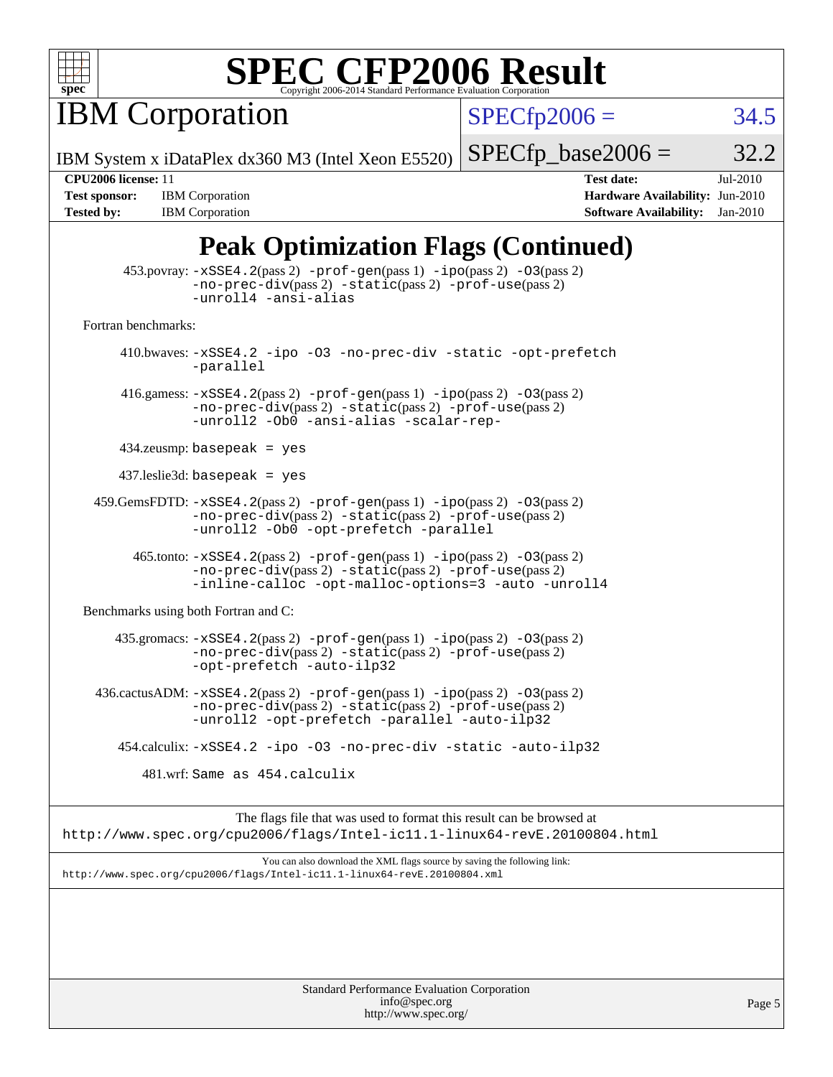

**IBM Corporation** 

 $SPECfp2006 = 34.5$  $SPECfp2006 = 34.5$ 

IBM System x iDataPlex dx360 M3 (Intel Xeon E5520)

 $SPECTp\_base2006 = 32.2$ 

Page 5

**[Tested by:](http://www.spec.org/auto/cpu2006/Docs/result-fields.html#Testedby)** IBM Corporation **[Software Availability:](http://www.spec.org/auto/cpu2006/Docs/result-fields.html#SoftwareAvailability)** Jan-2010

**[CPU2006 license:](http://www.spec.org/auto/cpu2006/Docs/result-fields.html#CPU2006license)** 11 **[Test date:](http://www.spec.org/auto/cpu2006/Docs/result-fields.html#Testdate)** Jul-2010 **[Test sponsor:](http://www.spec.org/auto/cpu2006/Docs/result-fields.html#Testsponsor)** IBM Corporation **[Hardware Availability:](http://www.spec.org/auto/cpu2006/Docs/result-fields.html#HardwareAvailability)** Jun-2010

## **[Peak Optimization Flags \(Continued\)](http://www.spec.org/auto/cpu2006/Docs/result-fields.html#PeakOptimizationFlags)**

| 453.povray: -xSSE4.2(pass 2) -prof-gen(pass 1) -ipo(pass 2) -03(pass 2)<br>-no-prec-div(pass 2) -static(pass 2) -prof-use(pass 2)<br>-unroll4 -ansi-alias                                                                                         |  |  |  |  |
|---------------------------------------------------------------------------------------------------------------------------------------------------------------------------------------------------------------------------------------------------|--|--|--|--|
| Fortran benchmarks:                                                                                                                                                                                                                               |  |  |  |  |
| 410.bwaves: -xSSE4.2 -ipo -03 -no-prec-div -static -opt-prefetch<br>-parallel                                                                                                                                                                     |  |  |  |  |
| 416.gamess: $-xSSE4$ . 2(pass 2) $-prof-gen(pass 1) -ipo(pass 2) -O3(pass 2)$<br>-no-prec-div(pass 2) -static(pass 2) -prof-use(pass 2)<br>-unroll2 -Ob0 -ansi-alias -scalar-rep-                                                                 |  |  |  |  |
| $434$ .zeusmp: basepeak = yes                                                                                                                                                                                                                     |  |  |  |  |
| $437$ .leslie3d: basepeak = yes                                                                                                                                                                                                                   |  |  |  |  |
| $459. \text{GemsFDTD: } -x \text{SSE4}.2(\text{pass 2}) - \text{prof-gen(pass 1)} - \text{ipo(pass 2)} -03(\text{pass 2})$<br>$-no\text{-prec-div}(pass 2)$ $-static(pass 2)$ $-prot\text{-use}(pass 2)$<br>-unroll2 -Ob0 -opt-prefetch -parallel |  |  |  |  |
| $465$ .tonto: $-xSSE4$ . 2(pass 2) $-prof-gen(pass 1) -ipo(pass 2) -03(pass 2)$<br>$-no-prec-div(pass 2) -static(pass 2) -prof-use(pass 2)$<br>-inline-calloc -opt-malloc-options=3 -auto -unroll4                                                |  |  |  |  |
| Benchmarks using both Fortran and C:                                                                                                                                                                                                              |  |  |  |  |
| $435$ .gromacs: $-xSSE4$ . 2(pass 2) $-prof-gen(pass 1) -ipo(pass 2) -03(pass 2)$<br>-no-prec-div(pass 2) -static(pass 2) -prof-use(pass 2)<br>-opt-prefetch -auto-ilp32                                                                          |  |  |  |  |
| $436.cactusADM: -xSSE4.2(pass 2) -prof-gen(pass 1) -ipo(pass 2) -03(pass 2)$<br>$-no\text{-prec-div}(pass 2)$ $-static(pass 2)$ $-prot\text{-use}(pass 2)$<br>-unroll2 -opt-prefetch -parallel -auto-ilp32                                        |  |  |  |  |
| 454.calculix: -xSSE4.2 -ipo -03 -no-prec-div -static -auto-ilp32                                                                                                                                                                                  |  |  |  |  |
| 481.wrf: Same as 454.calculix                                                                                                                                                                                                                     |  |  |  |  |
| The flags file that was used to format this result can be browsed at<br>http://www.spec.org/cpu2006/flags/Intel-ic11.1-linux64-revE.20100804.html                                                                                                 |  |  |  |  |
| You can also download the XML flags source by saving the following link:<br>http://www.spec.org/cpu2006/flags/Intel-icl1.1-linux64-revE.20100804.xml                                                                                              |  |  |  |  |
|                                                                                                                                                                                                                                                   |  |  |  |  |
|                                                                                                                                                                                                                                                   |  |  |  |  |
| Standard Performance Evaluation Corporation                                                                                                                                                                                                       |  |  |  |  |

[info@spec.org](mailto:info@spec.org) <http://www.spec.org/>